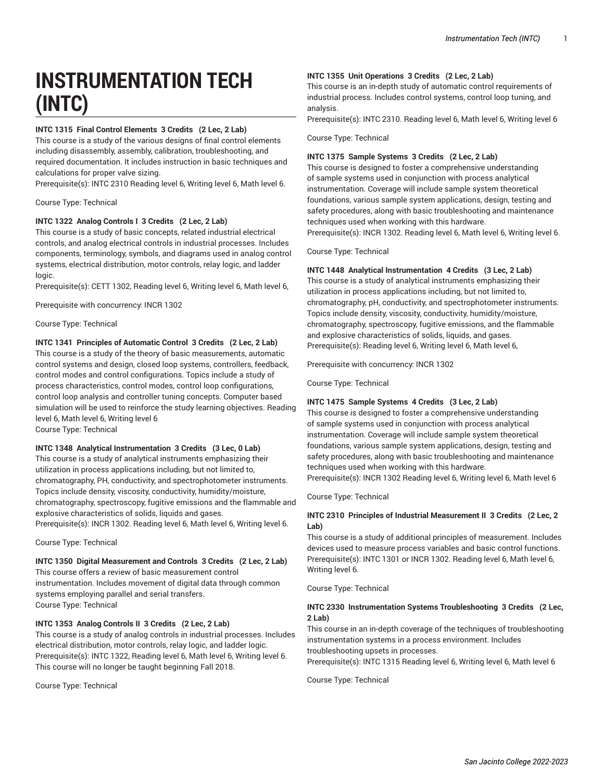# **INSTRUMENTATION TECH (INTC)**

# **INTC 1315 Final Control Elements 3 Credits (2 Lec, 2 Lab)**

This course is a study of the various designs of final control elements including disassembly, assembly, calibration, troubleshooting, and required documentation. It includes instruction in basic techniques and calculations for proper valve sizing.

Prerequisite(s): INTC 2310 Reading level 6, Writing level 6, Math level 6.

Course Type: Technical

# **INTC 1322 Analog Controls I 3 Credits (2 Lec, 2 Lab)**

This course is a study of basic concepts, related industrial electrical controls, and analog electrical controls in industrial processes. Includes components, terminology, symbols, and diagrams used in analog control systems, electrical distribution, motor controls, relay logic, and ladder logic.

Prerequisite(s): CETT 1302, Reading level 6, Writing level 6, Math level 6,

Prerequisite with concurrency: INCR 1302

Course Type: Technical

# **INTC 1341 Principles of Automatic Control 3 Credits (2 Lec, 2 Lab)**

This course is a study of the theory of basic measurements, automatic control systems and design, closed loop systems, controllers, feedback, control modes and control configurations. Topics include a study of process characteristics, control modes, control loop configurations, control loop analysis and controller tuning concepts. Computer based simulation will be used to reinforce the study learning objectives. Reading level 6, Math level 6, Writing level 6

Course Type: Technical

# **INTC 1348 Analytical Instrumentation 3 Credits (3 Lec, 0 Lab)**

This course is a study of analytical instruments emphasizing their utilization in process applications including, but not limited to, chromatography, PH, conductivity, and spectrophotometer instruments. Topics include density, viscosity, conductivity, humidity/moisture, chromatography, spectroscopy, fugitive emissions and the flammable and explosive characteristics of solids, liquids and gases. Prerequisite(s): INCR 1302. Reading level 6, Math level 6, Writing level 6.

Course Type: Technical

#### **INTC 1350 Digital Measurement and Controls 3 Credits (2 Lec, 2 Lab)**

This course offers a review of basic measurement control instrumentation. Includes movement of digital data through common systems employing parallel and serial transfers. Course Type: Technical

#### **INTC 1353 Analog Controls II 3 Credits (2 Lec, 2 Lab)**

This course is a study of analog controls in industrial processes. Includes electrical distribution, motor controls, relay logic, and ladder logic. Prerequisite(s): INTC 1322, Reading level 6, Math level 6, Writing level 6. This course will no longer be taught beginning Fall 2018.

Course Type: Technical

#### **INTC 1355 Unit Operations 3 Credits (2 Lec, 2 Lab)**

This course is an in-depth study of automatic control requirements of industrial process. Includes control systems, control loop tuning, and analysis.

Prerequisite(s): INTC 2310. Reading level 6, Math level 6, Writing level 6

Course Type: Technical

# **INTC 1375 Sample Systems 3 Credits (2 Lec, 2 Lab)**

This course is designed to foster a comprehensive understanding of sample systems used in conjunction with process analytical instrumentation. Coverage will include sample system theoretical foundations, various sample system applications, design, testing and safety procedures, along with basic troubleshooting and maintenance techniques used when working with this hardware. Prerequisite(s): INCR 1302. Reading level 6, Math level 6, Writing level 6.

Course Type: Technical

#### **INTC 1448 Analytical Instrumentation 4 Credits (3 Lec, 2 Lab)**

This course is a study of analytical instruments emphasizing their utilization in process applications including, but not limited to, chromatography, pH, conductivity, and spectrophotometer instruments. Topics include density, viscosity, conductivity, humidity/moisture, chromatography, spectroscopy, fugitive emissions, and the flammable and explosive characteristics of solids, liquids, and gases. Prerequisite(s): Reading level 6, Writing level 6, Math level 6,

Prerequisite with concurrency: INCR 1302

Course Type: Technical

# **INTC 1475 Sample Systems 4 Credits (3 Lec, 2 Lab)**

This course is designed to foster a comprehensive understanding of sample systems used in conjunction with process analytical instrumentation. Coverage will include sample system theoretical foundations, various sample system applications, design, testing and safety procedures, along with basic troubleshooting and maintenance techniques used when working with this hardware. Prerequisite(s): INCR 1302 Reading level 6, Writing level 6, Math level 6

Course Type: Technical

# **INTC 2310 Principles of Industrial Measurement II 3 Credits (2 Lec, 2 Lab)**

This course is a study of additional principles of measurement. Includes devices used to measure process variables and basic control functions. Prerequisite(s): INTC 1301 or INCR 1302. Reading level 6, Math level 6, Writing level 6.

Course Type: Technical

#### **INTC 2330 Instrumentation Systems Troubleshooting 3 Credits (2 Lec, 2 Lab)**

This course in an in-depth coverage of the techniques of troubleshooting instrumentation systems in a process environment. Includes

troubleshooting upsets in processes. Prerequisite(s): INTC 1315 Reading level 6, Writing level 6, Math level 6

Course Type: Technical